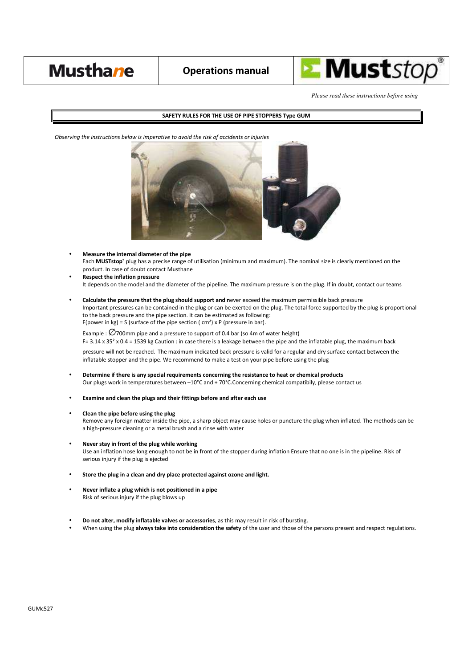

*Please read these instructions before using* 

## **SAFETY RULES FOR THE USE OF PIPE STOPPERS Type GUM**

*Observing the instructions below is imperative to avoid the risk of accidents or injuries*



- **Measure the internal diameter of the pipe** Each **MUSTstop®** plug has a precise range of utilisation (minimum and maximum). The nominal size is clearly mentioned on the product. In case of doubt contact Musthane
- **Respect the inflation pressure**  It depends on the model and the diameter of the pipeline. The maximum pressure is on the plug. If in doubt, contact our teams
- **Calculate the pressure that the plug should support and n**ever exceed the maximum permissible back pressure Important pressures can be contained in the plug or can be exerted on the plug. The total force supported by the plug is proportional to the back pressure and the pipe section. It can be estimated as following: F(power in kg) = S (surface of the pipe section ( $\text{cm}^2$ ) x P (pressure in bar).

Example :  $\emptyset$ 700mm pipe and a pressure to support of 0.4 bar (so 4m of water height)

F=  $3.14 \times 35^2 \times 0.4 = 1539$  kg Caution : in case there is a leakage between the pipe and the inflatable plug, the maximum back

pressure will not be reached. The maximum indicated back pressure is valid for a regular and dry surface contact between the inflatable stopper and the pipe. We recommend to make a test on your pipe before using the plug

- **Determine if there is any special requirements concerning the resistance to heat or chemical products**  Our plugs work in temperatures between –10°C and + 70°C.Concerning chemical compatibily, please contact us
- **Examine and clean the plugs and their fittings before and after each use**
- **Clean the pipe before using the plug**

Remove any foreign matter inside the pipe, a sharp object may cause holes or puncture the plug when inflated. The methods can be a high-pressure cleaning or a metal brush and a rinse with water

- **Never stay in front of the plug while working**  Use an inflation hose long enough to not be in front of the stopper during inflation Ensure that no one is in the pipeline. Risk of serious injury if the plug is ejected
- **Store the plug in a clean and dry place protected against ozone and light.**
- **Never inflate a plug which is not positioned in a pipe**  Risk of serious injury if the plug blows up
- **Do not alter, modify inflatable valves or accessories**, as this may result in risk of bursting.
- When using the plug **always take into consideration the safety** of the user and those of the persons present and respect regulations.